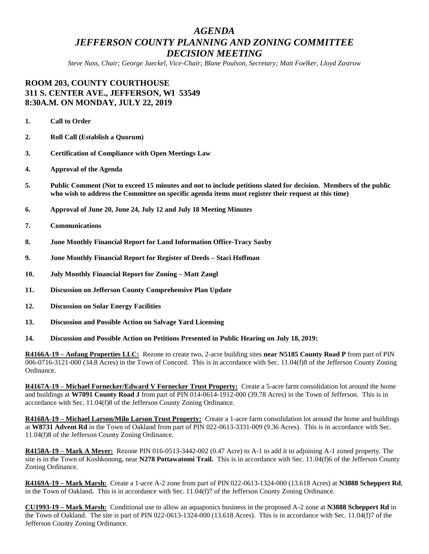## *AGENDA JEFFERSON COUNTY PLANNING AND ZONING COMMITTEE DECISION MEETING*

*Steve Nass, Chair; George Jaeckel, Vice-Chair; Blane Poulson, Secretary; Matt Foelker, Lloyd Zastrow*

## **ROOM 203, COUNTY COURTHOUSE 311 S. CENTER AVE., JEFFERSON, WI 53549 8:30A.M. ON MONDAY, JULY 22, 2019**

- **1. Call to Order**
- **2. Roll Call (Establish a Quorum)**
- **3. Certification of Compliance with Open Meetings Law**
- **4. Approval of the Agenda**
- **5. Public Comment (Not to exceed 15 minutes and not to include petitions slated for decision. Members of the public who wish to address the Committee on specific agenda items must register their request at this time)**
- **6. Approval of June 20, June 24, July 12 and July 18 Meeting Minutes**
- **7. Communications**
- **8. June Monthly Financial Report for Land Information Office-Tracy Saxby**
- **9. June Monthly Financial Report for Register of Deeds – Staci Hoffman**
- **10. July Monthly Financial Report for Zoning – Matt Zangl**
- **11. Discussion on Jefferson County Comprehensive Plan Update**
- **12. Discussion on Solar Energy Facilities**
- **13. Discussion and Possible Action on Salvage Yard Licensing**
- **14. Discussion and Possible Action on Petitions Presented in Public Hearing on July 18, 2019:**

**R4166A-19 – Anfang Properties LLC:** Rezone to create two, 2-acre building sites **near N5185 County Road P** from part of PIN 006-0716-3121-000 (34.8 Acres) in the Town of Concord. This is in accordance with Sec. 11.04(f)8 of the Jefferson County Zoning Ordinance.

**R4167A-19 – Michael Fornecker/Edward V Fornecker Trust Property:** Create a 5-acre farm consolidation lot around the home and buildings at **W7091 County Road J** from part of PIN 014-0614-1912-000 (39.78 Acres) in the Town of Jefferson. This is in accordance with Sec. 11.04(f)8 of the Jefferson County Zoning Ordinance.

**R4168A-19 – Michael Larson/Milo Larson Trust Property:** Create a 1-acre farm consolidation lot around the home and buildings at **W8731 Advent Rd** in the Town of Oakland from part of PIN 022-0613-3331-009 (9.36 Acres). This is in accordance with Sec. 11.04(f)8 of the Jefferson County Zoning Ordinance.

**R4158A-19 – Mark A Meyer:** Rezone PIN 016-0513-3442-002 (0.47 Acre) to A-1 to add it to adjoining A-1 zoned property. The site is in the Town of Koshkonong, near **N278 Pottawatomi Trail.** This is in accordance with Sec. 11.04(f)6 of the Jefferson County Zoning Ordinance.

**R4169A-19 – Mark Marsh:** Create a 1-acre A-2 zone from part of PIN 022-0613-1324-000 (13.618 Acres) at **N3888 Scheppert Rd**, in the Town of Oakland**.** This is in accordance with Sec. 11.04(f)7 of the Jefferson County Zoning Ordinance.

**CU1993-19 – Mark Marsh:** Conditional use to allow an aquaponics business in the proposed A-2 zone at **N3888 Scheppert Rd** in the Town of Oakland. The site is part of PIN 022-0613-1324-000 (13.618 Acres). This is in accordance with Sec. 11.04(f)7 of the Jefferson County Zoning Ordinance.